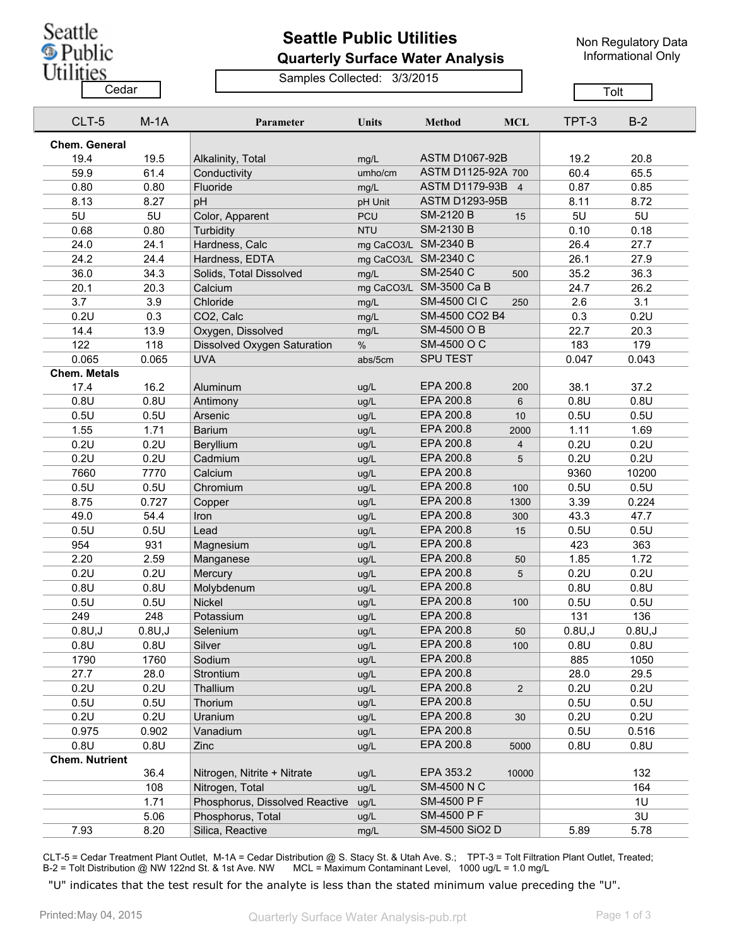Seattle **S** Public Utilities

## **Seattle Public Utilities Quarterly Surface Water Analysis**

Non Regulatory Data Informational Only

## Samples Collected: 3/3/2015

 $\overline{\phantom{a}}$ 

|                       | Cedar                |         |                                |                      |                         |                |         | Tolt    |  |
|-----------------------|----------------------|---------|--------------------------------|----------------------|-------------------------|----------------|---------|---------|--|
|                       | CLT-5                | $M-1A$  | Parameter                      | <b>Units</b>         | <b>Method</b>           | <b>MCL</b>     | TPT-3   | $B-2$   |  |
|                       | <b>Chem. General</b> |         |                                |                      |                         |                |         |         |  |
| 19.4                  |                      | 19.5    | Alkalinity, Total              | mg/L                 | <b>ASTM D1067-92B</b>   |                | 19.2    | 20.8    |  |
| 59.9                  |                      | 61.4    | Conductivity                   | umho/cm              | ASTM D1125-92A 700      |                | 60.4    | 65.5    |  |
| 0.80                  |                      | 0.80    | Fluoride                       | mg/L                 | ASTM D1179-93B 4        |                | 0.87    | 0.85    |  |
| 8.13                  |                      | 8.27    | pH                             | pH Unit              | <b>ASTM D1293-95B</b>   |                | 8.11    | 8.72    |  |
| 5U                    |                      | 5U      | Color, Apparent                | PCU                  | <b>SM-2120 B</b>        | 15             | 5U      | 5U      |  |
| 0.68                  |                      | 0.80    | Turbidity                      | <b>NTU</b>           | SM-2130 B               |                | 0.10    | 0.18    |  |
| 24.0                  |                      | 24.1    | Hardness, Calc                 | mg CaCO3/L SM-2340 B |                         |                | 26.4    | 27.7    |  |
| 24.2                  |                      | 24.4    | Hardness, EDTA                 | mg CaCO3/L SM-2340 C |                         |                | 26.1    | 27.9    |  |
| 36.0                  |                      | 34.3    | Solids, Total Dissolved        | mg/L                 | SM-2540 C               | 500            | 35.2    | 36.3    |  |
| 20.1                  |                      | 20.3    | Calcium                        |                      | mg CaCO3/L SM-3500 Ca B |                | 24.7    | 26.2    |  |
| 3.7                   |                      | 3.9     | Chloride                       | mg/L                 | <b>SM-4500 CI C</b>     | 250            | 2.6     | 3.1     |  |
| 0.2U                  |                      | 0.3     | CO2, Calc                      | mg/L                 | SM-4500 CO2 B4          |                | 0.3     | 0.2U    |  |
| 14.4                  |                      | 13.9    | Oxygen, Dissolved              | mg/L                 | SM-4500 O B             |                | 22.7    | 20.3    |  |
| 122                   |                      | 118     | Dissolved Oxygen Saturation    | $\%$                 | SM-4500 O C             |                | 183     | 179     |  |
| 0.065                 |                      | 0.065   | <b>UVA</b>                     | abs/5cm              | <b>SPU TEST</b>         |                | 0.047   | 0.043   |  |
| <b>Chem. Metals</b>   |                      |         |                                |                      |                         |                |         |         |  |
| 17.4                  |                      | 16.2    | Aluminum                       | ug/L                 | EPA 200.8               | 200            | 38.1    | 37.2    |  |
| 0.8U                  |                      | 0.8U    | Antimony                       | ug/L                 | EPA 200.8               | 6              | 0.8U    | 0.8U    |  |
| 0.5U                  |                      | 0.5U    | Arsenic                        | ug/L                 | EPA 200.8               | 10             | 0.5U    | 0.5U    |  |
| 1.55                  |                      | 1.71    | <b>Barium</b>                  | ug/L                 | EPA 200.8               | 2000           | 1.11    | 1.69    |  |
| 0.2U                  |                      | 0.2U    | <b>Beryllium</b>               | ug/L                 | EPA 200.8               | $\overline{4}$ | 0.2U    | 0.2U    |  |
| 0.2U                  |                      | 0.2U    | Cadmium                        | ug/L                 | EPA 200.8               | 5              | 0.2U    | 0.2U    |  |
| 7660                  |                      | 7770    | Calcium                        | ug/L                 | EPA 200.8               |                | 9360    | 10200   |  |
| 0.5U                  |                      | 0.5U    | Chromium                       | ug/L                 | EPA 200.8               | 100            | 0.5U    | 0.5U    |  |
| 8.75                  |                      | 0.727   | Copper                         | ug/L                 | EPA 200.8               | 1300           | 3.39    | 0.224   |  |
| 49.0                  |                      | 54.4    | Iron                           | ug/L                 | EPA 200.8               | 300            | 43.3    | 47.7    |  |
| 0.5U                  |                      | 0.5U    | Lead                           | ug/L                 | EPA 200.8               | 15             | 0.5U    | 0.5U    |  |
| 954                   |                      | 931     | Magnesium                      | ug/L                 | EPA 200.8               |                | 423     | 363     |  |
| 2.20                  |                      | 2.59    | Manganese                      | ug/L                 | EPA 200.8               | 50             | 1.85    | 1.72    |  |
| 0.2U                  |                      | 0.2U    | Mercury                        | ug/L                 | EPA 200.8               | 5              | 0.2U    | 0.2U    |  |
| 0.8U                  |                      | 0.8U    | Molybdenum                     | ug/L                 | EPA 200.8               |                | 0.8U    | 0.8U    |  |
| 0.5U                  |                      | 0.5U    | Nickel                         | ug/L                 | EPA 200.8               | 100            | 0.5U    | 0.5U    |  |
| 249                   |                      | 248     | Potassium                      | ug/L                 | EPA 200.8               |                | 131     | 136     |  |
|                       | 0.8U, J              | 0.8U, J | Selenium                       | ug/L                 | EPA 200.8               | 50             | 0.8U, J | 0.8U, J |  |
| 0.8U                  |                      | 0.8U    | Silver                         | ug/L                 | EPA 200.8               | 100            | 0.8U    | 0.8U    |  |
| 1790                  |                      | 1760    | Sodium                         | ug/L                 | EPA 200.8               |                | 885     | 1050    |  |
| 27.7                  |                      | 28.0    | Strontium                      | ug/L                 | EPA 200.8               |                | 28.0    | 29.5    |  |
| 0.2U                  |                      | 0.2U    | Thallium                       | ug/L                 | EPA 200.8               | $\overline{2}$ | 0.2U    | 0.2U    |  |
| 0.5U                  |                      | 0.5U    | Thorium                        | ug/L                 | EPA 200.8               |                | 0.5U    | 0.5U    |  |
| 0.2U                  |                      | 0.2U    | Uranium                        | ug/L                 | EPA 200.8               | 30             | 0.2U    | 0.2U    |  |
| 0.975                 |                      | 0.902   | Vanadium                       | ug/L                 | EPA 200.8               |                | 0.5U    | 0.516   |  |
| 0.8U                  |                      | 0.8U    | Zinc                           | ug/L                 | EPA 200.8               | 5000           | 0.8U    | 0.8U    |  |
| <b>Chem. Nutrient</b> |                      |         |                                |                      |                         |                |         |         |  |
|                       |                      | 36.4    | Nitrogen, Nitrite + Nitrate    | ug/L                 | EPA 353.2               | 10000          |         | 132     |  |
|                       |                      | 108     | Nitrogen, Total                | ug/L                 | <b>SM-4500 N C</b>      |                |         | 164     |  |
|                       |                      | 1.71    | Phosphorus, Dissolved Reactive | ug/L                 | SM-4500 P F             |                |         | 1U      |  |
|                       |                      | 5.06    | Phosphorus, Total              | ug/L                 | SM-4500 P F             |                |         | 3U      |  |
| 7.93                  |                      | 8.20    | Silica, Reactive               | mg/L                 | SM-4500 SiO2 D          |                | 5.89    | 5.78    |  |

CLT-5 = Cedar Treatment Plant Outlet, M-1A = Cedar Distribution @ S. Stacy St. & Utah Ave. S.; TPT-3 = Tolt Filtration Plant Outlet, Treated; B-2 = Tolt Distribution @ NW 122nd St. & 1st Ave. NW MCL = Maximum Contaminant Level, 1000 ug/L = 1.0 mg/L

"U" indicates that the test result for the analyte is less than the stated minimum value preceding the "U".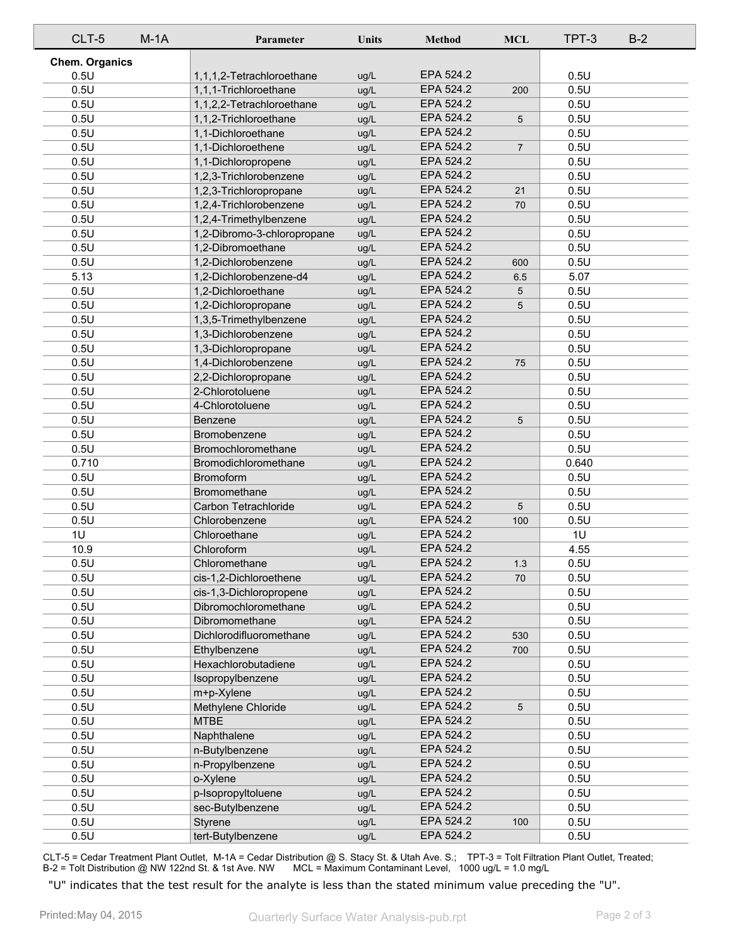| CLT-5                 | $M-1A$ | Parameter                   | <b>Units</b> | <b>Method</b> | <b>MCL</b>     | TPT-3 | $B-2$ |
|-----------------------|--------|-----------------------------|--------------|---------------|----------------|-------|-------|
| <b>Chem. Organics</b> |        |                             |              |               |                |       |       |
| 0.5U                  |        | 1,1,1,2-Tetrachloroethane   | ug/L         | EPA 524.2     |                | 0.5U  |       |
| 0.5U                  |        | 1,1,1-Trichloroethane       | ug/L         | EPA 524.2     | 200            | 0.5U  |       |
| 0.5U                  |        | 1,1,2,2-Tetrachloroethane   | ug/L         | EPA 524.2     |                | 0.5U  |       |
| 0.5U                  |        | 1,1,2-Trichloroethane       | ug/L         | EPA 524.2     | 5              | 0.5U  |       |
| 0.5U                  |        | 1,1-Dichloroethane          | ug/L         | EPA 524.2     |                | 0.5U  |       |
| 0.5U                  |        | 1,1-Dichloroethene          | ug/L         | EPA 524.2     | $\overline{7}$ | 0.5U  |       |
| 0.5U                  |        | 1,1-Dichloropropene         | ug/L         | EPA 524.2     |                | 0.5U  |       |
| 0.5U                  |        | 1,2,3-Trichlorobenzene      | ug/L         | EPA 524.2     |                | 0.5U  |       |
| 0.5U                  |        | 1,2,3-Trichloropropane      | ug/L         | EPA 524.2     | 21             | 0.5U  |       |
| 0.5U                  |        | 1,2,4-Trichlorobenzene      | ug/L         | EPA 524.2     | 70             | 0.5U  |       |
| 0.5U                  |        | 1,2,4-Trimethylbenzene      | ug/L         | EPA 524.2     |                | 0.5U  |       |
| 0.5U                  |        | 1,2-Dibromo-3-chloropropane | ug/L         | EPA 524.2     |                | 0.5U  |       |
| 0.5U                  |        | 1,2-Dibromoethane           | ug/L         | EPA 524.2     |                | 0.5U  |       |
| 0.5U                  |        | 1,2-Dichlorobenzene         | ug/L         | EPA 524.2     | 600            | 0.5U  |       |
| 5.13                  |        | 1,2-Dichlorobenzene-d4      | ug/L         | EPA 524.2     | 6.5            | 5.07  |       |
| 0.5U                  |        | 1,2-Dichloroethane          | ug/L         | EPA 524.2     | 5              | 0.5U  |       |
| 0.5U                  |        | 1,2-Dichloropropane         | ug/L         | EPA 524.2     | 5              | 0.5U  |       |
| 0.5U                  |        | 1,3,5-Trimethylbenzene      | ug/L         | EPA 524.2     |                | 0.5U  |       |
| 0.5U                  |        | 1,3-Dichlorobenzene         | ug/L         | EPA 524.2     |                | 0.5U  |       |
| 0.5U                  |        | 1,3-Dichloropropane         | ug/L         | EPA 524.2     |                | 0.5U  |       |
| 0.5U                  |        | 1,4-Dichlorobenzene         | ug/L         | EPA 524.2     | 75             | 0.5U  |       |
| 0.5U                  |        | 2,2-Dichloropropane         | ug/L         | EPA 524.2     |                | 0.5U  |       |
| 0.5U                  |        | 2-Chlorotoluene             | ug/L         | EPA 524.2     |                | 0.5U  |       |
| 0.5U                  |        | 4-Chlorotoluene             | ug/L         | EPA 524.2     |                | 0.5U  |       |
| 0.5U                  |        | Benzene                     | ug/L         | EPA 524.2     | 5              | 0.5U  |       |
| 0.5U                  |        | Bromobenzene                | ug/L         | EPA 524.2     |                | 0.5U  |       |
| 0.5U                  |        | Bromochloromethane          | ug/L         | EPA 524.2     |                | 0.5U  |       |
| 0.710                 |        | Bromodichloromethane        | ug/L         | EPA 524.2     |                | 0.640 |       |
| 0.5U                  |        | Bromoform                   | ug/L         | EPA 524.2     |                | 0.5U  |       |
| 0.5U                  |        | Bromomethane                | ug/L         | EPA 524.2     |                | 0.5U  |       |
| 0.5U                  |        | Carbon Tetrachloride        | ug/L         | EPA 524.2     | 5              | 0.5U  |       |
| 0.5U                  |        | Chlorobenzene               | ug/L         | EPA 524.2     | 100            | 0.5U  |       |
| 1U                    |        | Chloroethane                | ug/L         | EPA 524.2     |                | 1U    |       |
| 10.9                  |        | Chloroform                  | ug/L         | EPA 524.2     |                | 4.55  |       |
| 0.5U                  |        | Chloromethane               | ug/L         | EPA 524.2     | 1.3            | 0.5U  |       |
| 0.5U                  |        | cis-1,2-Dichloroethene      | ug/L         | EPA 524.2     | 70             | 0.5U  |       |
| 0.5U                  |        | cis-1,3-Dichloropropene     | ug/L         | EPA 524.2     |                | 0.5U  |       |
| 0.5U                  |        | Dibromochloromethane        | ug/L         | EPA 524.2     |                | 0.5U  |       |
| 0.5U                  |        | Dibromomethane              | ug/L         | EPA 524.2     |                | 0.5U  |       |
| 0.5U                  |        | Dichlorodifluoromethane     | ug/L         | EPA 524.2     | 530            | 0.5U  |       |
| 0.5U                  |        | Ethylbenzene                | ug/L         | EPA 524.2     | 700            | 0.5U  |       |
| 0.5U                  |        | Hexachlorobutadiene         | ug/L         | EPA 524.2     |                | 0.5U  |       |
| 0.5U                  |        | Isopropylbenzene            | ug/L         | EPA 524.2     |                | 0.5U  |       |
| 0.5U                  |        | m+p-Xylene                  | ug/L         | EPA 524.2     |                | 0.5U  |       |
| 0.5U                  |        | Methylene Chloride          | ug/L         | EPA 524.2     | 5              | 0.5U  |       |
| 0.5U                  |        | <b>MTBE</b>                 | ug/L         | EPA 524.2     |                | 0.5U  |       |
| 0.5U                  |        | Naphthalene                 | ug/L         | EPA 524.2     |                | 0.5U  |       |
| 0.5U                  |        | n-Butylbenzene              | ug/L         | EPA 524.2     |                | 0.5U  |       |
| 0.5U                  |        | n-Propylbenzene             | ug/L         | EPA 524.2     |                | 0.5U  |       |
| 0.5U                  |        | o-Xylene                    | ug/L         | EPA 524.2     |                | 0.5U  |       |
| 0.5U                  |        | p-Isopropyltoluene          | ug/L         | EPA 524.2     |                | 0.5U  |       |
| 0.5U                  |        | sec-Butylbenzene            | ug/L         | EPA 524.2     |                | 0.5U  |       |
| 0.5U                  |        | Styrene                     | ug/L         | EPA 524.2     | 100            | 0.5U  |       |
| 0.5U                  |        | tert-Butylbenzene           | ug/L         | EPA 524.2     |                | 0.5U  |       |

CLT-5 = Cedar Treatment Plant Outlet, M-1A = Cedar Distribution @ S. Stacy St. & Utah Ave. S.; TPT-3 = Tolt Filtration Plant Outlet, Treated; B-2 = Tolt Distribution @ NW 122nd St. & 1st Ave. NW MCL = Maximum Contaminant Level, 1000 ug/L = 1.0 mg/L

"U" indicates that the test result for the analyte is less than the stated minimum value preceding the "U".